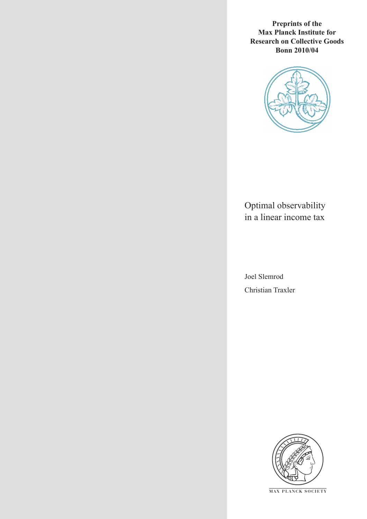**Preprints of the Max Planck Institute for Research on Collective Goods Bonn 2010/04**



Optimal observability in a linear income tax

Joel Slemrod Christian Traxler



**M AX P L A N C K S O C I E T Y**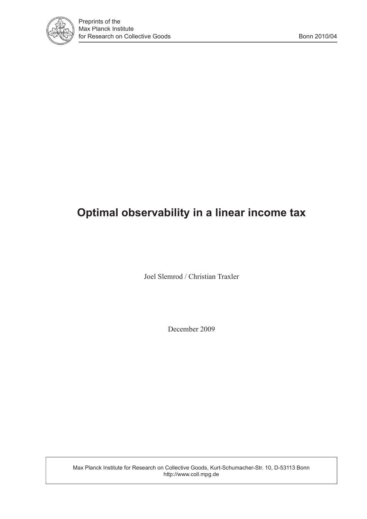

# **Optimal observability in a linear income tax**

Joel Slemrod / Christian Traxler

December 2009

Max Planck Institute for Research on Collective Goods, Kurt-Schumacher-Str. 10, D-53113 Bonn http://www.coll.mpg.de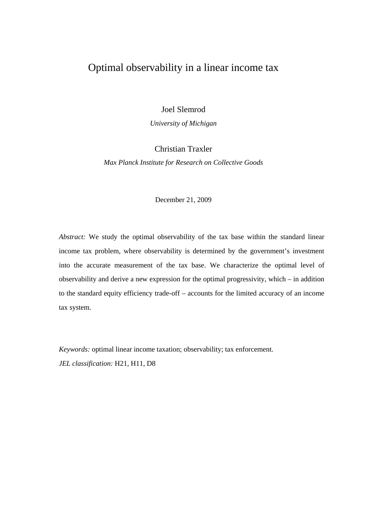## Optimal observability in a linear income tax

Joel Slemrod

*University of Michigan* 

Christian Traxler

*Max Planck Institute for Research on Collective Goods* 

December 21, 2009

*Abstract:* We study the optimal observability of the tax base within the standard linear income tax problem, where observability is determined by the government's investment into the accurate measurement of the tax base. We characterize the optimal level of observability and derive a new expression for the optimal progressivity, which – in addition to the standard equity efficiency trade-off – accounts for the limited accuracy of an income tax system.

*Keywords:* optimal linear income taxation; observability; tax enforcement.

*JEL classification:* H21, H11, D8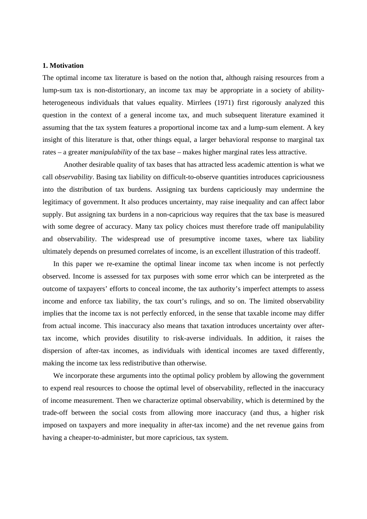#### **1. Motivation**

The optimal income tax literature is based on the notion that, although raising resources from a lump-sum tax is non-distortionary, an income tax may be appropriate in a society of abilityheterogeneous individuals that values equality. Mirrlees (1971) first rigorously analyzed this question in the context of a general income tax, and much subsequent literature examined it assuming that the tax system features a proportional income tax and a lump-sum element. A key insight of this literature is that, other things equal, a larger behavioral response to marginal tax rates – a greater *manipulability* of the tax base – makes higher marginal rates less attractive.

Another desirable quality of tax bases that has attracted less academic attention is what we call *observability*. Basing tax liability on difficult-to-observe quantities introduces capriciousness into the distribution of tax burdens. Assigning tax burdens capriciously may undermine the legitimacy of government. It also produces uncertainty, may raise inequality and can affect labor supply. But assigning tax burdens in a non-capricious way requires that the tax base is measured with some degree of accuracy. Many tax policy choices must therefore trade off manipulability and observability. The widespread use of presumptive income taxes, where tax liability ultimately depends on presumed correlates of income, is an excellent illustration of this tradeoff.

In this paper we re-examine the optimal linear income tax when income is not perfectly observed. Income is assessed for tax purposes with some error which can be interpreted as the outcome of taxpayers' efforts to conceal income, the tax authority's imperfect attempts to assess income and enforce tax liability, the tax court's rulings, and so on. The limited observability implies that the income tax is not perfectly enforced, in the sense that taxable income may differ from actual income. This inaccuracy also means that taxation introduces uncertainty over aftertax income, which provides disutility to risk-averse individuals. In addition, it raises the dispersion of after-tax incomes, as individuals with identical incomes are taxed differently, making the income tax less redistributive than otherwise.

We incorporate these arguments into the optimal policy problem by allowing the government to expend real resources to choose the optimal level of observability, reflected in the inaccuracy of income measurement. Then we characterize optimal observability, which is determined by the trade-off between the social costs from allowing more inaccuracy (and thus, a higher risk imposed on taxpayers and more inequality in after-tax income) and the net revenue gains from having a cheaper-to-administer, but more capricious, tax system.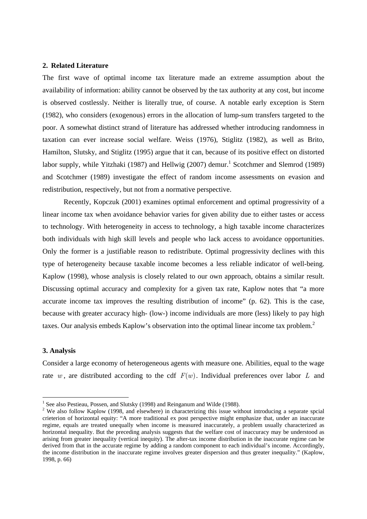#### **2. Related Literature**

The first wave of optimal income tax literature made an extreme assumption about the availability of information: ability cannot be observed by the tax authority at any cost, but income is observed costlessly. Neither is literally true, of course. A notable early exception is Stern (1982), who considers (exogenous) errors in the allocation of lump-sum transfers targeted to the poor. A somewhat distinct strand of literature has addressed whether introducing randomness in taxation can ever increase social welfare. Weiss (1976), Stiglitz (1982), as well as Brito, Hamilton, Slutsky, and Stiglitz (1995) argue that it can, because of its positive effect on distorted labor supply, while Yitzhaki (1987) and Hellwig (2007) demur.<sup>1</sup> Scotchmer and Slemrod (1989) and Scotchmer (1989) investigate the effect of random income assessments on evasion and redistribution, respectively, but not from a normative perspective.

Recently, Kopczuk (2001) examines optimal enforcement and optimal progressivity of a linear income tax when avoidance behavior varies for given ability due to either tastes or access to technology. With heterogeneity in access to technology, a high taxable income characterizes both individuals with high skill levels and people who lack access to avoidance opportunities. Only the former is a justifiable reason to redistribute. Optimal progressivity declines with this type of heterogeneity because taxable income becomes a less reliable indicator of well-being. Kaplow (1998), whose analysis is closely related to our own approach, obtains a similar result. Discussing optimal accuracy and complexity for a given tax rate, Kaplow notes that "a more accurate income tax improves the resulting distribution of income" (p. 62). This is the case, because with greater accuracy high- (low-) income individuals are more (less) likely to pay high taxes. Our analysis embeds Kaplow's observation into the optimal linear income tax problem.<sup>2</sup>

#### **3. Analysis**

Consider a large economy of heterogeneous agents with measure one. Abilities, equal to the wage rate w, are distributed according to the cdf  $F(w)$ . Individual preferences over labor L and

 1 See also Pestieau, Possen, and Slutsky (1998) and Reinganum and Wilde (1988).

<sup>&</sup>lt;sup>2</sup> We also follow Kaplow (1998, and elsewhere) in characterizing this issue without introducing a separate spcial crieterion of horizontal equity: "A more traditional ex post perspective might emphasize that, under an inaccurate regime, equals are treated unequally when income is measured inaccurately, a problem usually characterized as horizontal inequality. But the preceding analysis suggests that the welfare cost of inaccuracy may be understood as arising from greater inequality (vertical inequity). The after-tax income distribution in the inaccurate regime can be derived from that in the accurate regime by adding a random component to each individual's income. Accordingly, the income distribution in the inaccurate regime involves greater dispersion and thus greater inequality." (Kaplow, 1998, p. 66)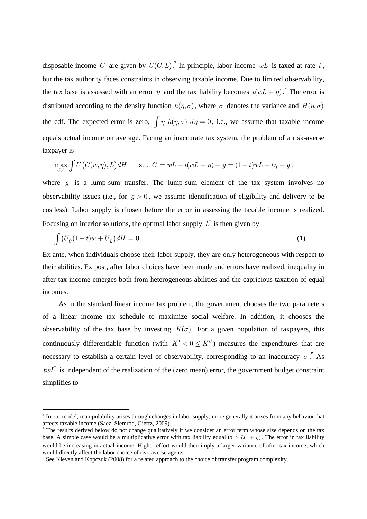disposable income *C* are given by  $U(C, L)$ .<sup>3</sup> In principle, labor income  $wL$  is taxed at rate *t*, but the tax authority faces constraints in observing taxable income. Due to limited observability, the tax base is assessed with an error  $\eta$  and the tax liability becomes  $t(wL + \eta)$ .<sup>4</sup> The error is distributed according to the density function  $h(\eta, \sigma)$ , where  $\sigma$  denotes the variance and  $H(\eta, \sigma)$ the cdf. The expected error is zero,  $\int \eta h(\eta, \sigma) d\eta = 0$ , i.e., we assume that taxable income equals actual income on average. Facing an inaccurate tax system, the problem of a risk-averse taxpayer is

$$
\max_{C,L} \int U(C(w,\eta),L) dH \quad \text{s.t. } C = wL - t(wL + \eta) + g = (1-t)wL - t\eta + g,
$$

where  $q$  is a lump-sum transfer. The lump-sum element of the tax system involves no observability issues (i.e., for  $q > 0$ , we assume identification of eligibility and delivery to be costless). Labor supply is chosen before the error in assessing the taxable income is realized. Focusing on interior solutions, the optimal labor supply  $L^*$  is then given by

$$
\int \left( U_c (1 - t) w + U_L \right) dH = 0. \tag{1}
$$

Ex ante, when individuals choose their labor supply, they are only heterogeneous with respect to their abilities. Ex post, after labor choices have been made and errors have realized, inequality in after-tax income emerges both from heterogeneous abilities and the capricious taxation of equal incomes.

 As in the standard linear income tax problem, the government chooses the two parameters of a linear income tax schedule to maximize social welfare. In addition, it chooses the observability of the tax base by investing  $K(\sigma)$ . For a given population of taxpayers, this continuously differentiable function (with  $K' < 0 \leq K''$ ) measures the expenditures that are necessary to establish a certain level of observability, corresponding to an inaccuracy  $\sigma$ .<sup>5</sup> As  $twL^*$  is independent of the realization of the (zero mean) error, the government budget constraint simplifies to

 $\overline{a}$ 

 $3$  In our model, manipulability arises through changes in labor supply; more generally it arises from any behavior that affects taxable income (Saez, Slemrod, Giertz, 2009).

<sup>&</sup>lt;sup>4</sup> The results derived below do not change qualitatively if we consider an error term whose size depends on the tax base. A simple case would be a multiplicative error with tax liability equal to  $twL(1 + \eta)$ . The error in tax liability would be increasing in actual income. Higher effort would then imply a larger variance of after-tax income, which would directly affect the labor choice of risk-averse agents.

<sup>&</sup>lt;sup>5</sup> See Kleven and Kopczuk (2008) for a related approach to the choice of transfer program complexity.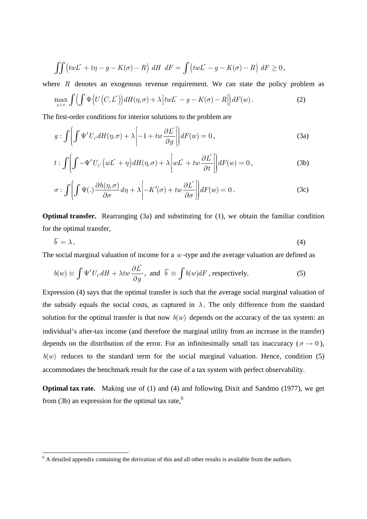$$
\iint \left( twL^* + t\eta - g - K(\sigma) - R \right) dH \ dF = \int \left( twL^* - g - K(\sigma) - R \right) dF \ge 0,
$$

where *R* denotes an exogenous revenue requirement. We can state the policy problem as

$$
\max_{g,t,\sigma} \int \left( \int \Psi \left( U \left( C, L^* \right) \right) dH(\eta, \sigma) + \lambda \left[ twL^* - g - K(\sigma) - R \right] \right) dF(w). \tag{2}
$$

The first-order conditions for interior solutions to the problem are

$$
g: \int \left( \int \Psi' U_c dH(\eta, \sigma) + \lambda \left[ -1 + tw \frac{\partial L^*}{\partial g} \right] \right) dF(w) = 0,
$$
 (3a)

$$
t:\int\bigg(\int -\Psi'U_C\left(wL^*+\eta\right)dH(\eta,\sigma)+\lambda\bigg[wL^*+tw\frac{\partial L^*}{\partial t}\bigg]\bigg)dF(w)=0\,,\tag{3b}
$$

$$
\sigma : \int \left( \int \Psi(.) \frac{\partial h(\eta, \sigma)}{\partial \sigma} d\eta + \lambda \left[ -K'(\sigma) + tw \frac{\partial L^*}{\partial \sigma} \right] \right) dF(w) = 0.
$$
 (3c)

**Optimal transfer.** Rearranging (3a) and substituting for (1), we obtain the familiar condition for the optimal transfer,

$$
\overline{b} = \lambda. \tag{4}
$$

The social marginal valuation of income for a *w* -type and the average valuation are defined as

$$
b(w) \equiv \int \Psi' U_C dH + \lambda tw \frac{\partial L^*}{\partial g}, \text{ and } \overline{b} \equiv \int b(w) dF, \text{ respectively.}
$$
 (5)

Expression (4) says that the optimal transfer is such that the average social marginal valuation of the subsidy equals the social costs, as captured in  $\lambda$ . The only difference from the standard solution for the optimal transfer is that now  $b(w)$  depends on the accuracy of the tax system: an individual's after-tax income (and therefore the marginal utility from an increase in the transfer) depends on the distribution of the error. For an infinitesimally small tax inaccuracy ( $\sigma \rightarrow 0$ ),  $b(w)$  reduces to the standard term for the social marginal valuation. Hence, condition (5) accommodates the benchmark result for the case of a tax system with perfect observability.

**Optimal tax rate.** Making use of (1) and (4) and following Dixit and Sandmo (1977), we get from (3b) an expression for the optimal tax rate, $6$ 

<sup>&</sup>lt;sup>6</sup> A detailed appendix containing the derivation of this and all other results is available from the authors.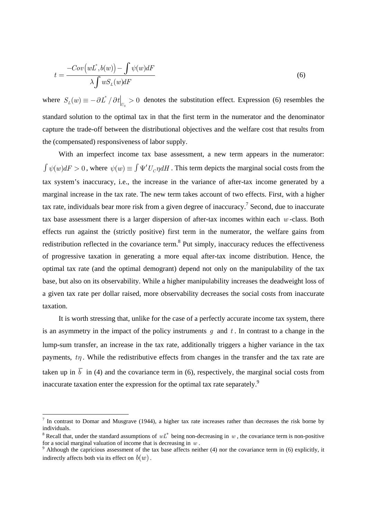$$
t = \frac{-Cov\left(wL^*, b(w)\right) - \int \psi(w)dF}{\lambda \int wS_L(w)dF}
$$
\n<sup>(6)</sup>

where  $S_L(w) \equiv -\partial L^* / \partial t \Big|_{U_0} > 0$  denotes the substitution effect. Expression (6) resembles the standard solution to the optimal tax in that the first term in the numerator and the denominator capture the trade-off between the distributional objectives and the welfare cost that results from the (compensated) responsiveness of labor supply.

 With an imperfect income tax base assessment, a new term appears in the numerator:  $\int \psi(w) dF > 0$ , where  $\psi(w) \equiv \int \Psi' U_c \eta dH$ . This term depicts the marginal social costs from the tax system's inaccuracy, i.e., the increase in the variance of after-tax income generated by a marginal increase in the tax rate. The new term takes account of two effects. First, with a higher tax rate, individuals bear more risk from a given degree of inaccuracy.<sup>7</sup> Second, due to inaccurate tax base assessment there is a larger dispersion of after-tax incomes within each *w* -class. Both effects run against the (strictly positive) first term in the numerator, the welfare gains from redistribution reflected in the covariance term.<sup>8</sup> Put simply, inaccuracy reduces the effectiveness of progressive taxation in generating a more equal after-tax income distribution. Hence, the optimal tax rate (and the optimal demogrant) depend not only on the manipulability of the tax base, but also on its observability. While a higher manipulability increases the deadweight loss of a given tax rate per dollar raised, more observability decreases the social costs from inaccurate taxation.

 It is worth stressing that, unlike for the case of a perfectly accurate income tax system, there is an asymmetry in the impact of the policy instruments  $q$  and  $t$ . In contrast to a change in the lump-sum transfer, an increase in the tax rate, additionally triggers a higher variance in the tax payments,  $t\eta$ . While the redistributive effects from changes in the transfer and the tax rate are taken up in  $\overline{b}$  in (4) and the covariance term in (6), respectively, the marginal social costs from inaccurate taxation enter the expression for the optimal tax rate separately.<sup>9</sup>

1

<sup>&</sup>lt;sup>7</sup> In contrast to Domar and Musgrave (1944), a higher tax rate increases rather than decreases the risk borne by individuals.

<sup>&</sup>lt;sup>8</sup> Recall that, under the standard assumptions of  $wL^*$  being non-decreasing in  $w$ , the covariance term is non-positive for a social marginal valuation of income that is decreasing in  $w$ .

<sup>&</sup>lt;sup>9</sup> Although the capricious assessment of the tax base affects neither (4) nor the covariance term in (6) explicitly, it indirectly affects both via its effect on  $b(w)$ .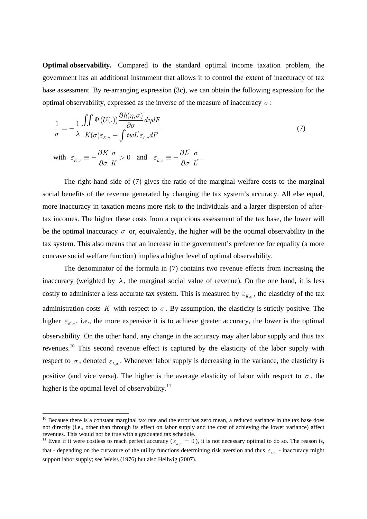**Optimal observability.** Compared to the standard optimal income taxation problem, the government has an additional instrument that allows it to control the extent of inaccuracy of tax base assessment. By re-arranging expression (3c), we can obtain the following expression for the optimal observability, expressed as the inverse of the measure of inaccuracy  $\sigma$ :

$$
\frac{1}{\sigma} = -\frac{1}{\lambda} \frac{\iint \Psi(U(.)) \frac{\partial h(\eta, \sigma)}{\partial \sigma} d\eta dF}{K(\sigma) \varepsilon_{K,\sigma} - \int tw \mathcal{L}^* \varepsilon_{L,\sigma} dF}
$$
\n(7)

with  $\varepsilon_{K,\sigma} \equiv -\frac{\partial K}{\partial x} \frac{\sigma}{K} > 0$  $\sigma = \frac{\partial}{\partial \sigma} \frac{\partial}{\partial K}$  $\varepsilon_{K\sigma} \equiv -\frac{\partial K}{\partial r} \frac{\sigma}{L}$ *s*  $\equiv -\frac{\partial K}{\partial x} \frac{\sigma}{\sigma} >$  $\partial$  and \*  $L_{,\sigma} = -\frac{\Delta}{\Delta \tau} \frac{1}{r^*}$ *L*  $\sigma = \frac{\partial}{\partial \sigma} \frac{\partial}{\partial L}$  $\varepsilon_{Lg} \equiv -\frac{\partial L^*}{\partial r^*} \frac{\sigma}{r^*}$ *s*  $\equiv -\frac{\partial L^*}{\partial \sigma}\frac{\sigma}{L^*}.$ 

1

 The right-hand side of (7) gives the ratio of the marginal welfare costs to the marginal social benefits of the revenue generated by changing the tax system's accuracy. All else equal, more inaccuracy in taxation means more risk to the individuals and a larger dispersion of aftertax incomes. The higher these costs from a capricious assessment of the tax base, the lower will be the optimal inaccuracy  $\sigma$  or, equivalently, the higher will be the optimal observability in the tax system. This also means that an increase in the government's preference for equality (a more concave social welfare function) implies a higher level of optimal observability.

The denominator of the formula in (7) contains two revenue effects from increasing the inaccuracy (weighted by  $\lambda$ , the marginal social value of revenue). On the one hand, it is less costly to administer a less accurate tax system. This is measured by  $\varepsilon_{K,\sigma}$ , the elasticity of the tax administration costs K with respect to  $\sigma$ . By assumption, the elasticity is strictly positive. The higher  $\varepsilon_{K_{\alpha}}$ , i.e., the more expensive it is to achieve greater accuracy, the lower is the optimal observability. On the other hand, any change in the accuracy may alter labor supply and thus tax revenues.10 This second revenue effect is captured by the elasticity of the labor supply with respect to  $\sigma$ , denoted  $\varepsilon_{L,\sigma}$ . Whenever labor supply is decreasing in the variance, the elasticity is positive (and vice versa). The higher is the average elasticity of labor with respect to  $\sigma$ , the higher is the optimal level of observability.<sup>11</sup>

 $10$  Because there is a constant marginal tax rate and the error has zero mean, a reduced variance in the tax base does not directly (i.e., other than through its effect on labor supply and the cost of achieving the lower variance) affect revenues. This would not be true with a graduated tax schedule.

<sup>&</sup>lt;sup>11</sup> Even if it were costless to reach perfect accuracy ( $\varepsilon_{K,\sigma} = 0$ ), it is not necessary optimal to do so. The reason is, that - depending on the curvature of the utility functions determining risk aversion and thus  $\varepsilon_{L,\sigma}$  - inaccuracy might support labor supply; see Weiss (1976) but also Hellwig (2007).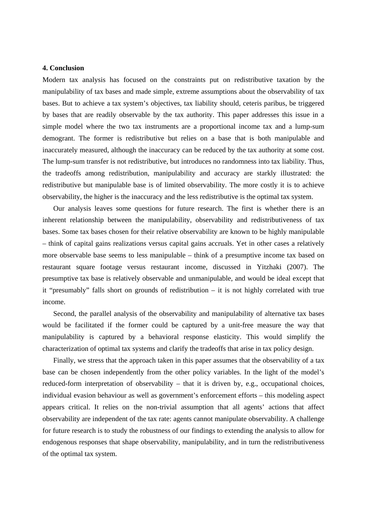### **4. Conclusion**

Modern tax analysis has focused on the constraints put on redistributive taxation by the manipulability of tax bases and made simple, extreme assumptions about the observability of tax bases. But to achieve a tax system's objectives, tax liability should, ceteris paribus, be triggered by bases that are readily observable by the tax authority. This paper addresses this issue in a simple model where the two tax instruments are a proportional income tax and a lump-sum demogrant. The former is redistributive but relies on a base that is both manipulable and inaccurately measured, although the inaccuracy can be reduced by the tax authority at some cost. The lump-sum transfer is not redistributive, but introduces no randomness into tax liability. Thus, the tradeoffs among redistribution, manipulability and accuracy are starkly illustrated: the redistributive but manipulable base is of limited observability. The more costly it is to achieve observability, the higher is the inaccuracy and the less redistributive is the optimal tax system.

Our analysis leaves some questions for future research. The first is whether there is an inherent relationship between the manipulability, observability and redistributiveness of tax bases. Some tax bases chosen for their relative observability are known to be highly manipulable – think of capital gains realizations versus capital gains accruals. Yet in other cases a relatively more observable base seems to less manipulable – think of a presumptive income tax based on restaurant square footage versus restaurant income, discussed in Yitzhaki (2007). The presumptive tax base is relatively observable and unmanipulable, and would be ideal except that it "presumably" falls short on grounds of redistribution – it is not highly correlated with true income.

Second, the parallel analysis of the observability and manipulability of alternative tax bases would be facilitated if the former could be captured by a unit-free measure the way that manipulability is captured by a behavioral response elasticity. This would simplify the characterization of optimal tax systems and clarify the tradeoffs that arise in tax policy design.

Finally, we stress that the approach taken in this paper assumes that the observability of a tax base can be chosen independently from the other policy variables. In the light of the model's reduced-form interpretation of observability – that it is driven by, e.g., occupational choices, individual evasion behaviour as well as government's enforcement efforts – this modeling aspect appears critical. It relies on the non-trivial assumption that all agents' actions that affect observability are independent of the tax rate: agents cannot manipulate observability. A challenge for future research is to study the robustness of our findings to extending the analysis to allow for endogenous responses that shape observability, manipulability, and in turn the redistributiveness of the optimal tax system.